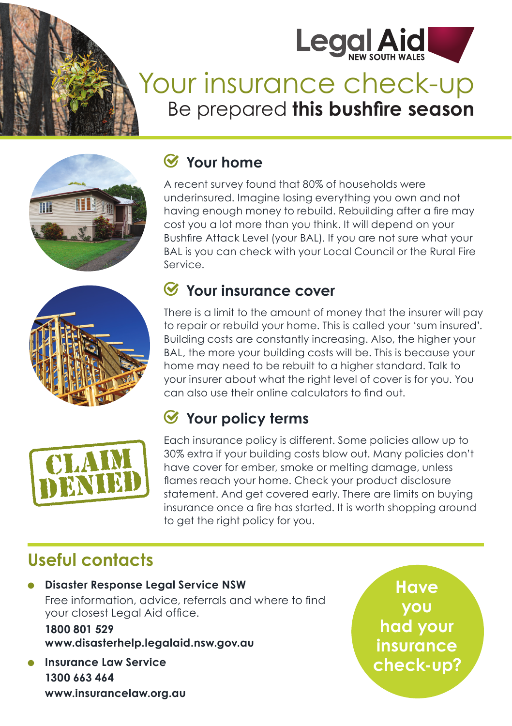

# Your insurance check-up Be prepared **this bushfire season**



#### **Your home**

A recent survey found that 80% of households were underinsured. Imagine losing everything you own and not having enough money to rebuild. Rebuilding after a fire may cost you a lot more than you think. It will depend on your Bushfire Attack Level (your BAL). If you are not sure what your BAL is you can check with your Local Council or the Rural Fire Service.





#### **Your insurance cover**

There is a limit to the amount of money that the insurer will pay to repair or rebuild your home. This is called your 'sum insured'. Building costs are constantly increasing. Also, the higher your BAL, the more your building costs will be. This is because your home may need to be rebuilt to a higher standard. Talk to your insurer about what the right level of cover is for you. You can also use their online calculators to find out.

#### **Your policy terms**

Each insurance policy is different. Some policies allow up to 30% extra if your building costs blow out. Many policies don't have cover for ember, smoke or melting damage, unless flames reach your home. Check your product disclosure statement. And get covered early. There are limits on buying insurance once a fire has started. It is worth shopping around to get the right policy for you.

## **Useful contacts**

● **Disaster Response Legal Service NSW** Free information, advice, referrals and where to find your closest Legal Aid office.

**1800 801 529 www.disasterhelp.legalaid.nsw.gov.au**

**Insurance Law Service 1300 663 464 www.insurancelaw.org.au** 

**Have you had your insurance check-up?**